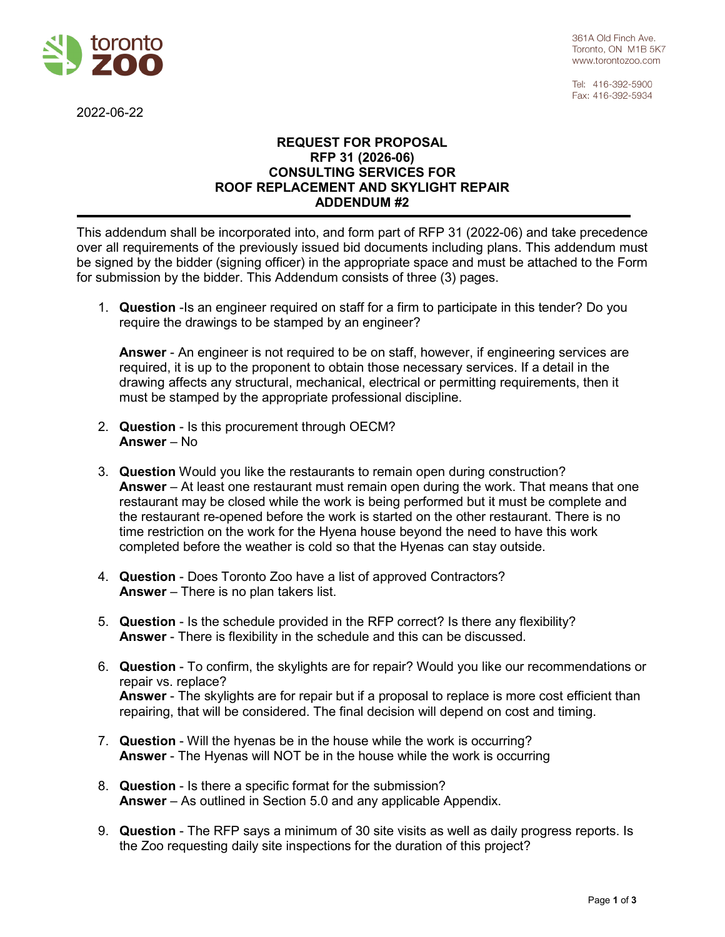

2022-06-22

Tel: 416-392-5900 Fax: 416-392-5934

## **REQUEST FOR PROPOSAL RFP 31 (2026-06) CONSULTING SERVICES FOR ROOF REPLACEMENT AND SKYLIGHT REPAIR ADDENDUM #2**

This addendum shall be incorporated into, and form part of RFP 31 (2022-06) and take precedence over all requirements of the previously issued bid documents including plans. This addendum must be signed by the bidder (signing officer) in the appropriate space and must be attached to the Form for submission by the bidder. This Addendum consists of three (3) pages.

1. **Question** -Is an engineer required on staff for a firm to participate in this tender? Do you require the drawings to be stamped by an engineer?

**Answer** - An engineer is not required to be on staff, however, if engineering services are required, it is up to the proponent to obtain those necessary services. If a detail in the drawing affects any structural, mechanical, electrical or permitting requirements, then it must be stamped by the appropriate professional discipline.

- 2. **Question** Is this procurement through OECM? **Answer** – No
- 3. **Question** Would you like the restaurants to remain open during construction? **Answer** – At least one restaurant must remain open during the work. That means that one restaurant may be closed while the work is being performed but it must be complete and the restaurant re-opened before the work is started on the other restaurant. There is no time restriction on the work for the Hyena house beyond the need to have this work completed before the weather is cold so that the Hyenas can stay outside.
- 4. **Question** Does Toronto Zoo have a list of approved Contractors? **Answer** – There is no plan takers list.
- 5. **Question** Is the schedule provided in the RFP correct? Is there any flexibility? **Answer** - There is flexibility in the schedule and this can be discussed.
- 6. **Question** To confirm, the skylights are for repair? Would you like our recommendations or repair vs. replace? **Answer** - The skylights are for repair but if a proposal to replace is more cost efficient than repairing, that will be considered. The final decision will depend on cost and timing.
- 7. **Question** Will the hyenas be in the house while the work is occurring? **Answer** - The Hyenas will NOT be in the house while the work is occurring
- 8. **Question** Is there a specific format for the submission? **Answer** – As outlined in Section 5.0 and any applicable Appendix.
- 9. **Question** The RFP says a minimum of 30 site visits as well as daily progress reports. Is the Zoo requesting daily site inspections for the duration of this project?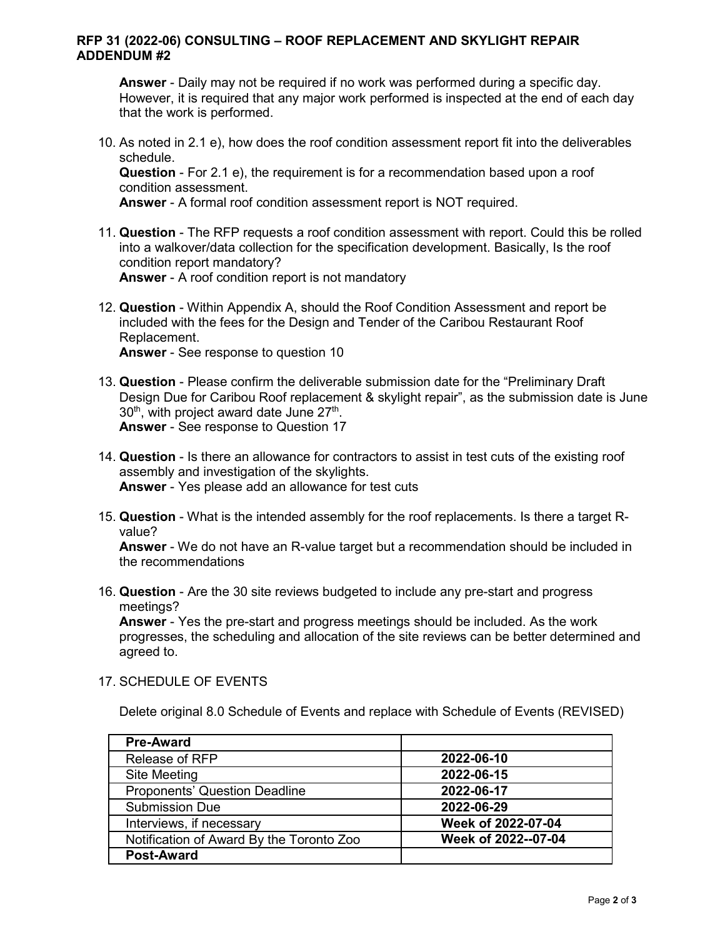## **RFP 31 (2022-06) CONSULTING – ROOF REPLACEMENT AND SKYLIGHT REPAIR ADDENDUM #2**

**Answer** - Daily may not be required if no work was performed during a specific day. However, it is required that any major work performed is inspected at the end of each day that the work is performed.

10. As noted in 2.1 e), how does the roof condition assessment report fit into the deliverables schedule.

**Question** - For 2.1 e), the requirement is for a recommendation based upon a roof condition assessment.

**Answer** - A formal roof condition assessment report is NOT required.

- 11. **Question** The RFP requests a roof condition assessment with report. Could this be rolled into a walkover/data collection for the specification development. Basically, Is the roof condition report mandatory? **Answer** - A roof condition report is not mandatory
- 12. **Question** Within Appendix A, should the Roof Condition Assessment and report be included with the fees for the Design and Tender of the Caribou Restaurant Roof Replacement. **Answer** - See response to question 10

- 13. **Question** Please confirm the deliverable submission date for the "Preliminary Draft Design Due for Caribou Roof replacement & skylight repair", as the submission date is June  $30<sup>th</sup>$ , with project award date June  $27<sup>th</sup>$ . **Answer** - See response to Question 17
- 14. **Question** Is there an allowance for contractors to assist in test cuts of the existing roof assembly and investigation of the skylights. **Answer** - Yes please add an allowance for test cuts
- 15. **Question** What is the intended assembly for the roof replacements. Is there a target Rvalue?

**Answer** - We do not have an R-value target but a recommendation should be included in the recommendations

16. **Question** - Are the 30 site reviews budgeted to include any pre-start and progress meetings?

**Answer** - Yes the pre-start and progress meetings should be included. As the work progresses, the scheduling and allocation of the site reviews can be better determined and agreed to.

17. SCHEDULE OF EVENTS

Delete original 8.0 Schedule of Events and replace with Schedule of Events (REVISED)

| <b>Pre-Award</b>                         |                     |
|------------------------------------------|---------------------|
| Release of RFP                           | 2022-06-10          |
| <b>Site Meeting</b>                      | 2022-06-15          |
| <b>Proponents' Question Deadline</b>     | 2022-06-17          |
| <b>Submission Due</b>                    | 2022-06-29          |
| Interviews, if necessary                 | Week of 2022-07-04  |
| Notification of Award By the Toronto Zoo | Week of 2022--07-04 |
| <b>Post-Award</b>                        |                     |